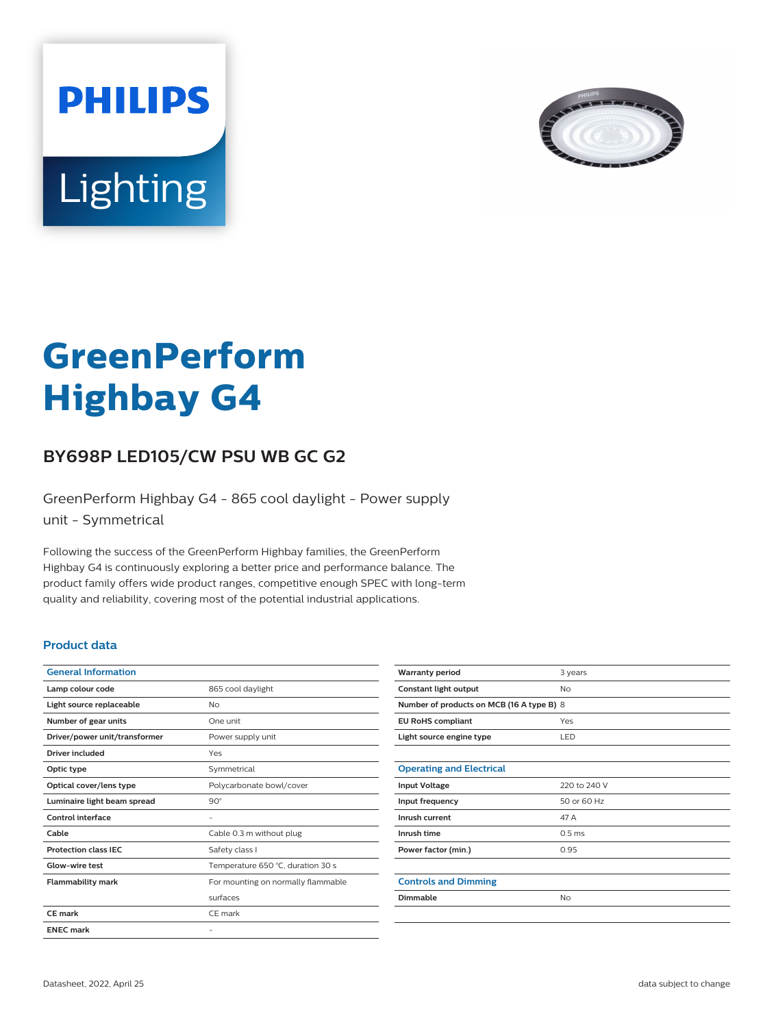



# **GreenPerform Highbay G4**

## **BY698P LED105/CW PSU WB GC G2**

GreenPerform Highbay G4 - 865 cool daylight - Power supply unit - Symmetrical

Following the success of the GreenPerform Highbay families, the GreenPerform Highbay G4 is continuously exploring a better price and performance balance. The product family offers wide product ranges, competitive enough SPEC with long-term quality and reliability, covering most of the potential industrial applications.

#### **Product data**

| <b>General Information</b>    |                                    |
|-------------------------------|------------------------------------|
| Lamp colour code              | 865 cool daylight                  |
| Light source replaceable      | No                                 |
| Number of gear units          | One unit                           |
| Driver/power unit/transformer | Power supply unit                  |
| Driver included               | Yes                                |
| Optic type                    | Symmetrical                        |
| Optical cover/lens type       | Polycarbonate bowl/cover           |
| Luminaire light beam spread   | $90^\circ$                         |
| Control interface             |                                    |
| Cable                         | Cable 0.3 m without plug           |
| <b>Protection class IEC</b>   | Safety class I                     |
| Glow-wire test                | Temperature 650 °C, duration 30 s  |
| <b>Flammability mark</b>      | For mounting on normally flammable |
|                               | surfaces                           |
| CF mark                       | CE mark                            |
| <b>ENEC mark</b>              |                                    |

| <b>Warranty period</b>                    | 3 years           |  |
|-------------------------------------------|-------------------|--|
| Constant light output                     | <b>No</b>         |  |
| Number of products on MCB (16 A type B) 8 |                   |  |
| <b>EU RoHS compliant</b>                  | Yes               |  |
| Light source engine type                  | LED               |  |
|                                           |                   |  |
| <b>Operating and Electrical</b>           |                   |  |
| <b>Input Voltage</b>                      | 220 to 240 V      |  |
| Input frequency                           | 50 or 60 Hz       |  |
| Inrush current                            | 47 A              |  |
| Inrush time                               | 0.5 <sub>ms</sub> |  |
| Power factor (min.)                       | 0.95              |  |
|                                           |                   |  |
| <b>Controls and Dimming</b>               |                   |  |
| Dimmable                                  | <b>No</b>         |  |
|                                           |                   |  |